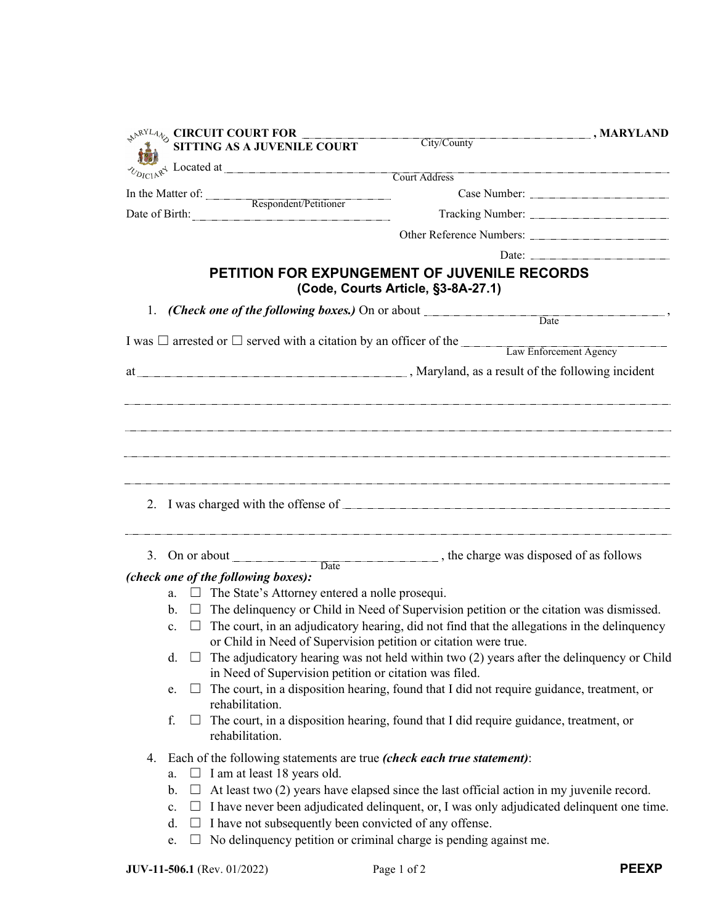| <b>SURCUIT COURT FOR THE COURT FOR THE COURT</b>                      |                                                                        | MARYLAND (MARYLAND<br>City/County                                                                  |
|-----------------------------------------------------------------------|------------------------------------------------------------------------|----------------------------------------------------------------------------------------------------|
|                                                                       |                                                                        |                                                                                                    |
| $\sim_{D_{ICLI} \times \mathcal{L}}$ Located at Court Address         |                                                                        |                                                                                                    |
| In the Matter of: <u>Respondent/Petitioner</u><br>Date of Birth: 2008 |                                                                        |                                                                                                    |
|                                                                       |                                                                        |                                                                                                    |
|                                                                       |                                                                        |                                                                                                    |
|                                                                       |                                                                        |                                                                                                    |
|                                                                       |                                                                        | PETITION FOR EXPUNGEMENT OF JUVENILE RECORDS<br>(Code, Courts Article, §3-8A-27.1)                 |
| 1.                                                                    |                                                                        |                                                                                                    |
|                                                                       |                                                                        |                                                                                                    |
|                                                                       |                                                                        | I was $\Box$ arrested or $\Box$ served with a citation by an officer of the Law Enforcement Agency |
|                                                                       |                                                                        |                                                                                                    |
|                                                                       |                                                                        |                                                                                                    |
|                                                                       |                                                                        |                                                                                                    |
|                                                                       |                                                                        | 3. On or about <u>Date</u> , the charge was disposed of as follows                                 |
|                                                                       | (check one of the following boxes):                                    |                                                                                                    |
|                                                                       | $\Box$ The State's Attorney entered a nolle prosequi.<br>a.            |                                                                                                    |
|                                                                       | b.                                                                     | $\Box$ The delinguency or Child in Need of Supervision petition or the citation was dismissed.     |
|                                                                       | c.<br>or Child in Need of Supervision petition or citation were true.  | The court, in an adjudicatory hearing, did not find that the allegations in the delinquency        |
|                                                                       | d.                                                                     | The adjudicatory hearing was not held within two (2) years after the delinquency or Child          |
|                                                                       | in Need of Supervision petition or citation was filed.                 |                                                                                                    |
|                                                                       | $\Box$<br>e.                                                           | The court, in a disposition hearing, found that I did not require guidance, treatment, or          |
|                                                                       | rehabilitation.<br>f.<br>⊔.                                            | The court, in a disposition hearing, found that I did require guidance, treatment, or              |
|                                                                       | rehabilitation.                                                        |                                                                                                    |
| 4.                                                                    | Each of the following statements are true (check each true statement): |                                                                                                    |
|                                                                       | $\Box$ I am at least 18 years old.<br>a.                               |                                                                                                    |
|                                                                       | b.                                                                     | At least two (2) years have elapsed since the last official action in my juvenile record.          |
|                                                                       | $\mathbf{c}.$                                                          | $\Box$ I have never been adjudicated delinquent, or, I was only adjudicated delinquent one time.   |
|                                                                       | I have not subsequently been convicted of any offense.<br>d.<br>e.     | No delinquency petition or criminal charge is pending against me.                                  |
|                                                                       |                                                                        |                                                                                                    |